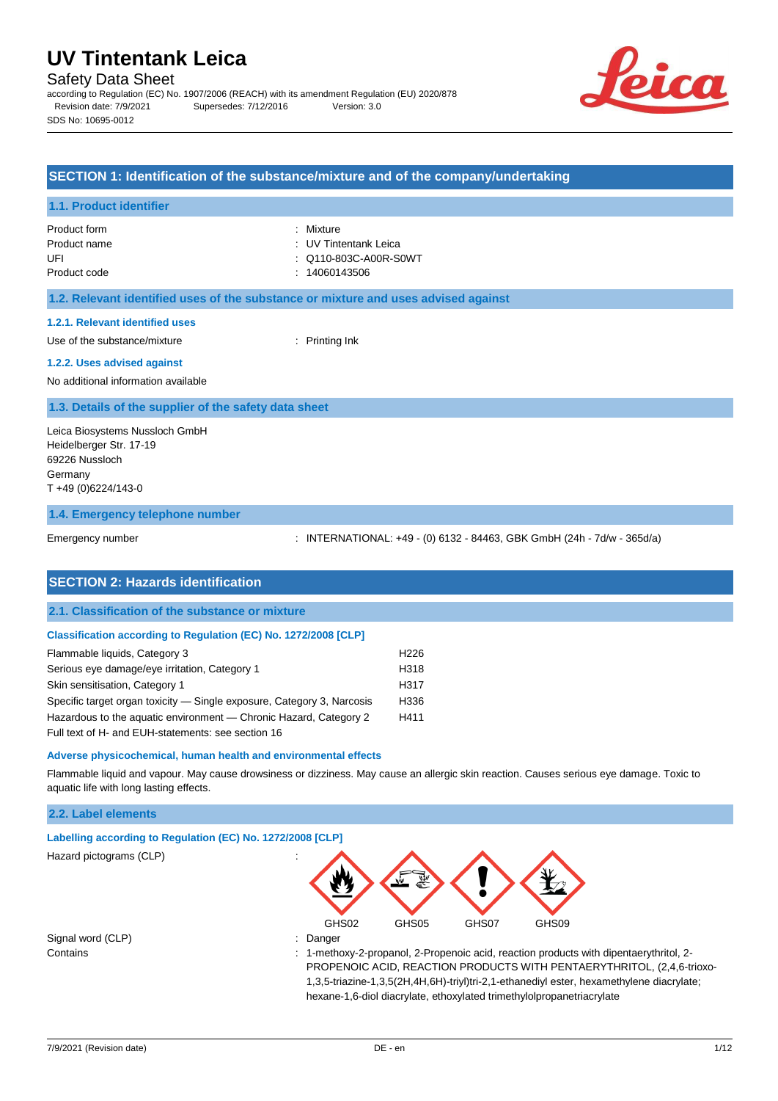Safety Data Sheet

according to Regulation (EC) No. 1907/2006 (REACH) with its amendment Regulation (EU) 2020/878 Revision date: 7/9/2021 Supersedes: 7/12/2016 Version: 3.0 SDS No: 10695-0012



#### **SECTION 1: Identification of the substance/mixture and of the company/undertaking**

#### **1.1. Product identifier**

Product form : Nixture : Mixture Product code : 14060143506

Product name : UV Tintentank Leica UFI : Q110-803C-A00R-S0WT

### **1.2. Relevant identified uses of the substance or mixture and uses advised against**

#### **1.2.1. Relevant identified uses**

Use of the substance/mixture in the substance in the set of the substance in the substance in the set of the substance in the substance in the substance in the substance in the substance in the substance in the substance i

## **1.2.2. Uses advised against**

No additional information available

#### **1.3. Details of the supplier of the safety data sheet**

Leica Biosystems Nussloch GmbH Heidelberger Str. 17-19 69226 Nussloch Germany T +49 (0)6224/143-0

### **1.4. Emergency telephone number**

Emergency number : INTERNATIONAL: +49 - (0) 6132 - 84463, GBK GmbH (24h - 7d/w - 365d/a)

| <b>SECTION 2: Hazards identification</b>                               |                  |
|------------------------------------------------------------------------|------------------|
| 2.1. Classification of the substance or mixture                        |                  |
| <b>Classification according to Regulation (EC) No. 1272/2008 [CLP]</b> |                  |
| Flammable liquids, Category 3                                          | H <sub>226</sub> |
| Serious eye damage/eye irritation, Category 1                          | H318             |
| Skin sensitisation, Category 1                                         | H317             |
| Specific target organ toxicity — Single exposure, Category 3, Narcosis | H336             |
| Hazardous to the aquatic environment - Chronic Hazard, Category 2      | H411             |
| Full text of H- and EUH-statements: see section 16                     |                  |

#### **Adverse physicochemical, human health and environmental effects**

Flammable liquid and vapour. May cause drowsiness or dizziness. May cause an allergic skin reaction. Causes serious eye damage. Toxic to aquatic life with long lasting effects.

### **2.2. Label elements**

| Labelling according to Regulation (EC) No. 1272/2008 [CLP] |                                                                                          |
|------------------------------------------------------------|------------------------------------------------------------------------------------------|
| Hazard pictograms (CLP)                                    | $\cdot$                                                                                  |
|                                                            | GHS02<br>GHS05<br>GHS07<br>GHS09                                                         |
| Signal word (CLP)                                          | Danger                                                                                   |
| Contains                                                   | 1-methoxy-2-propanol, 2-Propenoic acid, reaction products with dipentaerythritol, 2-     |
|                                                            | PROPENOIC ACID, REACTION PRODUCTS WITH PENTAERYTHRITOL, (2,4,6-trioxo-                   |
|                                                            | 1,3,5-triazine-1,3,5(2H,4H,6H)-triyl)tri-2,1-ethanediyl ester, hexamethylene diacrylate; |
|                                                            | hexane-1,6-diol diacrylate, ethoxylated trimethylolpropanetriacrylate                    |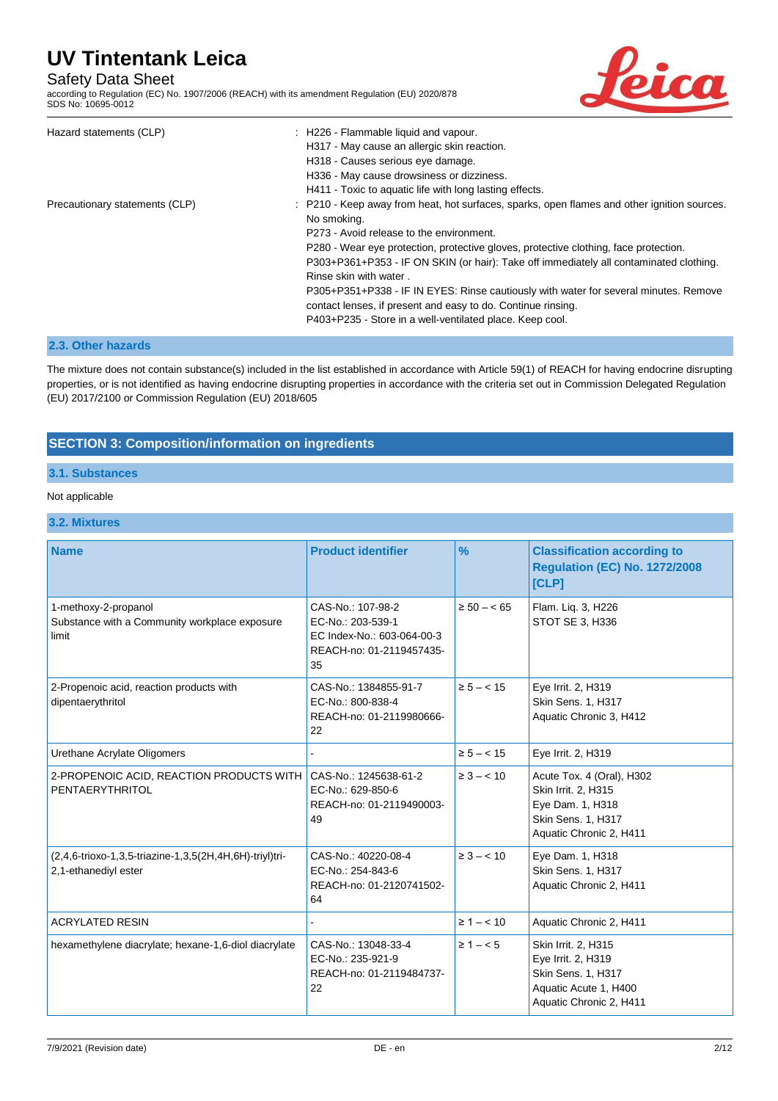## Safety Data Sheet

according to Regulation (EC) No. 1907/2006 (REACH) with its amendment Regulation (EU) 2020/878 SDS No: 10695-0012



| Hazard statements (CLP)        | : H226 - Flammable liquid and vapour.<br>H317 - May cause an allergic skin reaction.<br>H318 - Causes serious eye damage.<br>H336 - May cause drowsiness or dizziness.<br>H411 - Toxic to aquatic life with long lasting effects.                                                                                                                                                                                                                                                                                                                                                      |
|--------------------------------|----------------------------------------------------------------------------------------------------------------------------------------------------------------------------------------------------------------------------------------------------------------------------------------------------------------------------------------------------------------------------------------------------------------------------------------------------------------------------------------------------------------------------------------------------------------------------------------|
| Precautionary statements (CLP) | : P210 - Keep away from heat, hot surfaces, sparks, open flames and other ignition sources.<br>No smoking.<br>P273 - Avoid release to the environment.<br>P280 - Wear eye protection, protective gloves, protective clothing, face protection.<br>P303+P361+P353 - IF ON SKIN (or hair): Take off immediately all contaminated clothing.<br>Rinse skin with water.<br>P305+P351+P338 - IF IN EYES: Rinse cautiously with water for several minutes. Remove<br>contact lenses, if present and easy to do. Continue rinsing.<br>P403+P235 - Store in a well-ventilated place. Keep cool. |

### **2.3. Other hazards**

The mixture does not contain substance(s) included in the list established in accordance with Article 59(1) of REACH for having endocrine disrupting properties, or is not identified as having endocrine disrupting properties in accordance with the criteria set out in Commission Delegated Regulation (EU) 2017/2100 or Commission Regulation (EU) 2018/605

## **SECTION 3: Composition/information on ingredients**

### **3.1. Substances**

### Not applicable

### **3.2. Mixtures**

| <b>Name</b>                                                                     | <b>Product identifier</b>                                                                              | $\%$             | <b>Classification according to</b><br><b>Regulation (EC) No. 1272/2008</b><br>[CLP]                                   |
|---------------------------------------------------------------------------------|--------------------------------------------------------------------------------------------------------|------------------|-----------------------------------------------------------------------------------------------------------------------|
| 1-methoxy-2-propanol<br>Substance with a Community workplace exposure<br>limit  | CAS-No.: 107-98-2<br>EC-No.: 203-539-1<br>EC Index-No.: 603-064-00-3<br>REACH-no: 01-2119457435-<br>35 | $\geq 50 - < 65$ | Flam. Liq. 3, H226<br>STOT SE 3, H336                                                                                 |
| 2-Propenoic acid, reaction products with<br>dipentaerythritol                   | CAS-No.: 1384855-91-7<br>EC-No.: 800-838-4<br>REACH-no: 01-2119980666-<br>22                           | $\ge 5 - < 15$   | Eye Irrit. 2, H319<br>Skin Sens. 1, H317<br>Aquatic Chronic 3, H412                                                   |
| Urethane Acrylate Oligomers                                                     |                                                                                                        | $\ge 5 - < 15$   | Eye Irrit. 2, H319                                                                                                    |
| 2-PROPENOIC ACID, REACTION PRODUCTS WITH<br>PENTAERYTHRITOL                     | CAS-No.: 1245638-61-2<br>EC-No.: 629-850-6<br>REACH-no: 01-2119490003-<br>49                           | $\geq 3 - < 10$  | Acute Tox. 4 (Oral), H302<br>Skin Irrit. 2, H315<br>Eye Dam. 1, H318<br>Skin Sens. 1, H317<br>Aquatic Chronic 2, H411 |
| (2,4,6-trioxo-1,3,5-triazine-1,3,5(2H,4H,6H)-triyl)tri-<br>2,1-ethanediyl ester | CAS-No.: 40220-08-4<br>EC-No.: 254-843-6<br>REACH-no: 01-2120741502-<br>64                             | $\geq 3 - < 10$  | Eye Dam. 1, H318<br>Skin Sens. 1, H317<br>Aquatic Chronic 2, H411                                                     |
| <b>ACRYLATED RESIN</b>                                                          |                                                                                                        | $\geq 1 - < 10$  | Aquatic Chronic 2, H411                                                                                               |
| hexamethylene diacrylate; hexane-1,6-diol diacrylate                            | CAS-No.: 13048-33-4<br>EC-No.: 235-921-9<br>REACH-no: 01-2119484737-<br>22                             | $\ge 1 - 5$      | Skin Irrit. 2, H315<br>Eye Irrit. 2, H319<br>Skin Sens. 1, H317<br>Aquatic Acute 1, H400<br>Aquatic Chronic 2, H411   |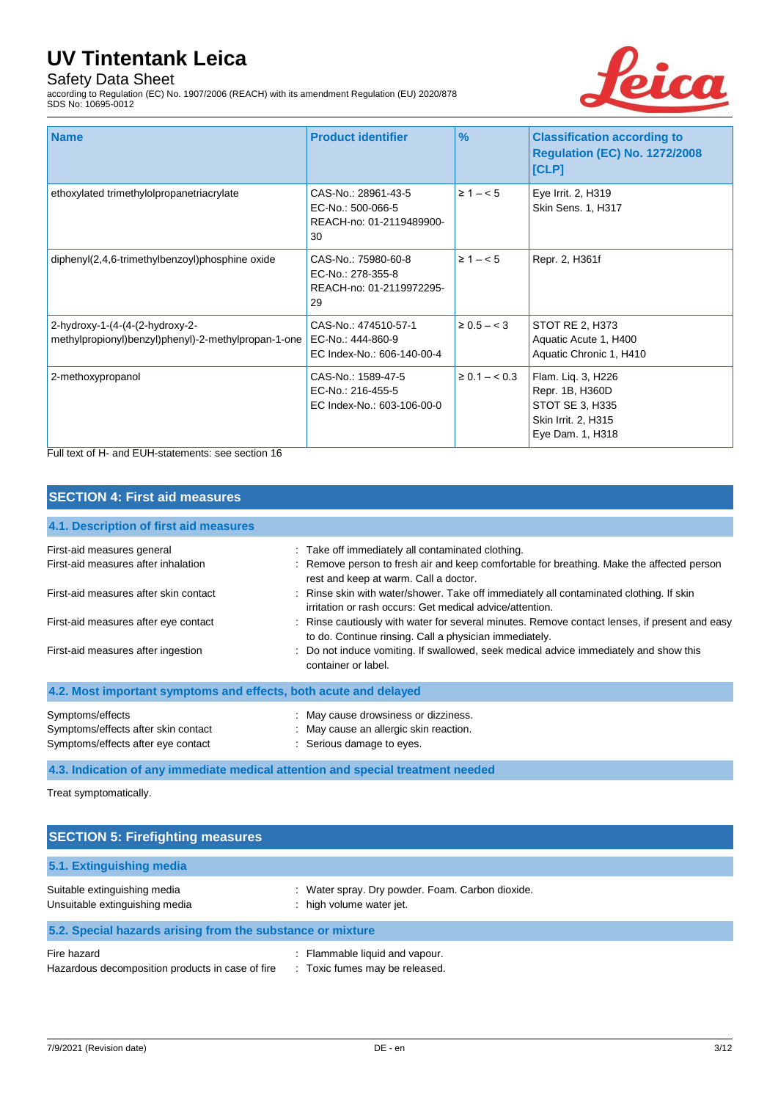## Safety Data Sheet

according to Regulation (EC) No. 1907/2006 (REACH) with its amendment Regulation (EU) 2020/878 SDS No: 10695-0012



| <b>Name</b>                                                                            | <b>Product identifier</b>                                                  | $\frac{9}{6}$      | <b>Classification according to</b><br><b>Regulation (EC) No. 1272/2008</b><br>[CLP]                 |
|----------------------------------------------------------------------------------------|----------------------------------------------------------------------------|--------------------|-----------------------------------------------------------------------------------------------------|
| ethoxylated trimethylolpropanetriacrylate                                              | CAS-No.: 28961-43-5<br>EC-No.: 500-066-5<br>REACH-no: 01-2119489900-<br>30 | $\ge 1 - 5$        | Eye Irrit. 2, H319<br>Skin Sens. 1, H317                                                            |
| diphenyl(2,4,6-trimethylbenzoyl)phosphine oxide                                        | CAS-No.: 75980-60-8<br>EC-No.: 278-355-8<br>REACH-no: 01-2119972295-<br>29 | $\geq 1 - 5$       | Repr. 2, H361f                                                                                      |
| 2-hydroxy-1-(4-(4-(2-hydroxy-2-<br>methylpropionyl)benzyl)phenyl)-2-methylpropan-1-one | CAS-No.: 474510-57-1<br>EC-No.: 444-860-9<br>EC Index-No.: 606-140-00-4    | $\geq 0.5 - < 3$   | STOT RE 2, H373<br>Aquatic Acute 1, H400<br>Aquatic Chronic 1, H410                                 |
| 2-methoxypropanol                                                                      | CAS-No.: 1589-47-5<br>EC-No.: 216-455-5<br>EC Index-No.: 603-106-00-0      | $\geq 0.1 - < 0.3$ | Flam. Liq. 3, H226<br>Repr. 1B, H360D<br>STOT SE 3, H335<br>Skin Irrit. 2, H315<br>Eye Dam. 1, H318 |

Full text of H- and EUH-statements: see section 16

## **SECTION 4: First aid measures**

| 4.1. Description of first aid measures                                                        |                                                                                                                                                         |
|-----------------------------------------------------------------------------------------------|---------------------------------------------------------------------------------------------------------------------------------------------------------|
| First-aid measures general                                                                    | : Take off immediately all contaminated clothing.                                                                                                       |
| First-aid measures after inhalation                                                           | : Remove person to fresh air and keep comfortable for breathing. Make the affected person<br>rest and keep at warm. Call a doctor.                      |
| First-aid measures after skin contact                                                         | : Rinse skin with water/shower. Take off immediately all contaminated clothing. If skin<br>irritation or rash occurs: Get medical advice/attention.     |
| First-aid measures after eye contact                                                          | : Rinse cautiously with water for several minutes. Remove contact lenses, if present and easy<br>to do. Continue rinsing. Call a physician immediately. |
| First-aid measures after ingestion                                                            | : Do not induce vomiting. If swallowed, seek medical advice immediately and show this<br>container or label.                                            |
| 4.2. Most important symptoms and effects, both acute and delayed                              |                                                                                                                                                         |
| Symptoms/effects<br>Symptoms/effects after skin contact<br>Symptoms/effects after eye contact | : May cause drowsiness or dizziness.<br>: May cause an allergic skin reaction.<br>: Serious damage to eyes.                                             |

**4.3. Indication of any immediate medical attention and special treatment needed**

Treat symptomatically.

| <b>SECTION 5: Firefighting measures</b>                         |                                                                            |  |
|-----------------------------------------------------------------|----------------------------------------------------------------------------|--|
| 5.1. Extinguishing media                                        |                                                                            |  |
| Suitable extinguishing media<br>Unsuitable extinguishing media  | Water spray. Dry powder. Foam. Carbon dioxide.<br>: high volume water jet. |  |
| 5.2. Special hazards arising from the substance or mixture      |                                                                            |  |
| Fire hazard<br>Hazardous decomposition products in case of fire | Flammable liquid and vapour.<br>: Toxic fumes may be released.             |  |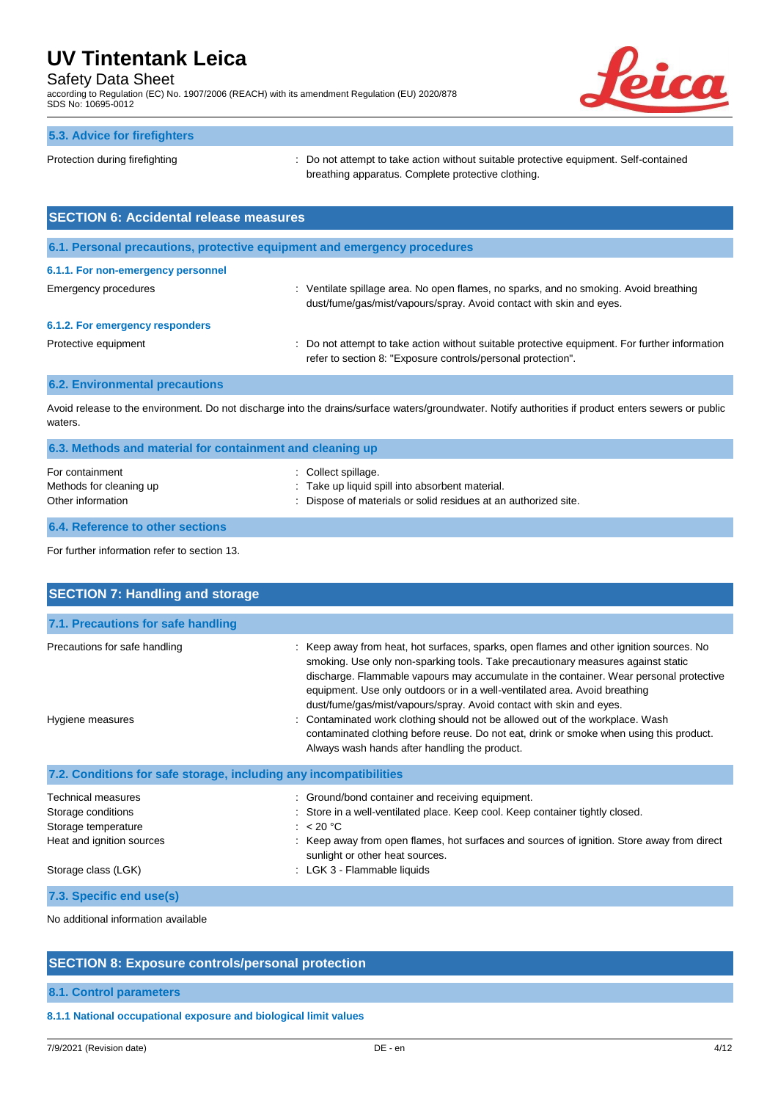## Safety Data Sheet

according to Regulation (EC) No. 1907/2006 (REACH) with its amendment Regulation (EU) 2020/878 SDS No: 10695-0012



| 5.3. Advice for firefighters                  |                                                                                                                                             |
|-----------------------------------------------|---------------------------------------------------------------------------------------------------------------------------------------------|
| Protection during firefighting                | : Do not attempt to take action without suitable protective equipment. Self-contained<br>breathing apparatus. Complete protective clothing. |
| <b>SECTION 6: Accidental release measures</b> |                                                                                                                                             |
|                                               |                                                                                                                                             |

**6.1. Personal precautions, protective equipment and emergency procedures**

### **6.1.1. For non-emergency personnel**

Emergency procedures **interpretatal contracts** ventilate spillage area. No open flames, no sparks, and no smoking. Avoid breathing dust/fume/gas/mist/vapours/spray. Avoid contact with skin and eyes.

### **6.1.2. For emergency responders**

Protective equipment **interval of the CO** not attempt to take action without suitable protective equipment. For further information refer to section 8: "Exposure controls/personal protection".

#### **6.2. Environmental precautions**

Avoid release to the environment. Do not discharge into the drains/surface waters/groundwater. Notify authorities if product enters sewers or public waters.

| 6.3. Methods and material for containment and cleaning up       |                                                                                                                                           |  |
|-----------------------------------------------------------------|-------------------------------------------------------------------------------------------------------------------------------------------|--|
| For containment<br>Methods for cleaning up<br>Other information | : Collect spillage.<br>: Take up liquid spill into absorbent material.<br>: Dispose of materials or solid residues at an authorized site. |  |
|                                                                 |                                                                                                                                           |  |

## **6.4. Reference to other sections**

For further information refer to section 13.

| <b>SECTION 7: Handling and storage</b>                                                                                     |                                                                                                                                                                                                                                                                                                                                                                                                                                                                                                                                                                                                                                                     |
|----------------------------------------------------------------------------------------------------------------------------|-----------------------------------------------------------------------------------------------------------------------------------------------------------------------------------------------------------------------------------------------------------------------------------------------------------------------------------------------------------------------------------------------------------------------------------------------------------------------------------------------------------------------------------------------------------------------------------------------------------------------------------------------------|
| 7.1. Precautions for safe handling                                                                                         |                                                                                                                                                                                                                                                                                                                                                                                                                                                                                                                                                                                                                                                     |
| Precautions for safe handling<br>Hygiene measures                                                                          | Keep away from heat, hot surfaces, sparks, open flames and other ignition sources. No<br>smoking. Use only non-sparking tools. Take precautionary measures against static<br>discharge. Flammable vapours may accumulate in the container. Wear personal protective<br>equipment. Use only outdoors or in a well-ventilated area. Avoid breathing<br>dust/fume/gas/mist/vapours/spray. Avoid contact with skin and eyes.<br>Contaminated work clothing should not be allowed out of the workplace. Wash<br>contaminated clothing before reuse. Do not eat, drink or smoke when using this product.<br>Always wash hands after handling the product. |
| 7.2. Conditions for safe storage, including any incompatibilities                                                          |                                                                                                                                                                                                                                                                                                                                                                                                                                                                                                                                                                                                                                                     |
| <b>Technical measures</b><br>Storage conditions<br>Storage temperature<br>Heat and ignition sources<br>Storage class (LGK) | : Ground/bond container and receiving equipment.<br>Store in a well-ventilated place. Keep cool. Keep container tightly closed.<br>: $< 20 °C$<br>Keep away from open flames, hot surfaces and sources of ignition. Store away from direct<br>sunlight or other heat sources.<br>: LGK 3 - Flammable liquids                                                                                                                                                                                                                                                                                                                                        |
| 7.3. Specific end use(s)                                                                                                   |                                                                                                                                                                                                                                                                                                                                                                                                                                                                                                                                                                                                                                                     |

No additional information available

### **SECTION 8: Exposure controls/personal protection**

### **8.1. Control parameters**

**8.1.1 National occupational exposure and biological limit values**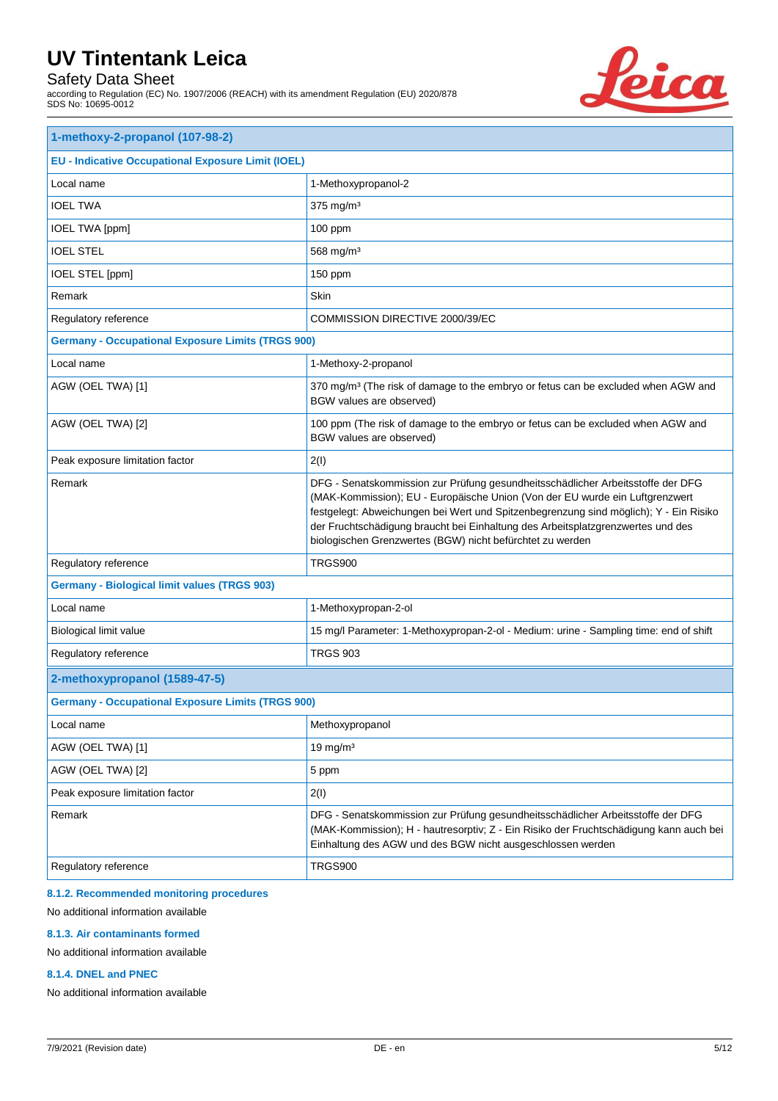## Safety Data Sheet

according to Regulation (EC) No. 1907/2006 (REACH) with its amendment Regulation (EU) 2020/878 SDS No: 10695-0012



| 1-methoxy-2-propanol (107-98-2)                           |                                                                                                                                                                                                                                                                                                                                                                                                          |  |  |
|-----------------------------------------------------------|----------------------------------------------------------------------------------------------------------------------------------------------------------------------------------------------------------------------------------------------------------------------------------------------------------------------------------------------------------------------------------------------------------|--|--|
| <b>EU - Indicative Occupational Exposure Limit (IOEL)</b> |                                                                                                                                                                                                                                                                                                                                                                                                          |  |  |
| Local name                                                | 1-Methoxypropanol-2                                                                                                                                                                                                                                                                                                                                                                                      |  |  |
| <b>IOEL TWA</b>                                           | 375 mg/m <sup>3</sup>                                                                                                                                                                                                                                                                                                                                                                                    |  |  |
| IOEL TWA [ppm]                                            | 100 ppm                                                                                                                                                                                                                                                                                                                                                                                                  |  |  |
| <b>IOEL STEL</b>                                          | 568 mg/m <sup>3</sup>                                                                                                                                                                                                                                                                                                                                                                                    |  |  |
| IOEL STEL [ppm]                                           | 150 ppm                                                                                                                                                                                                                                                                                                                                                                                                  |  |  |
| Remark                                                    | Skin                                                                                                                                                                                                                                                                                                                                                                                                     |  |  |
| Regulatory reference                                      | COMMISSION DIRECTIVE 2000/39/EC                                                                                                                                                                                                                                                                                                                                                                          |  |  |
| <b>Germany - Occupational Exposure Limits (TRGS 900)</b>  |                                                                                                                                                                                                                                                                                                                                                                                                          |  |  |
| Local name                                                | 1-Methoxy-2-propanol                                                                                                                                                                                                                                                                                                                                                                                     |  |  |
| AGW (OEL TWA) [1]                                         | 370 mg/m <sup>3</sup> (The risk of damage to the embryo or fetus can be excluded when AGW and<br>BGW values are observed)                                                                                                                                                                                                                                                                                |  |  |
| AGW (OEL TWA) [2]                                         | 100 ppm (The risk of damage to the embryo or fetus can be excluded when AGW and<br>BGW values are observed)                                                                                                                                                                                                                                                                                              |  |  |
| Peak exposure limitation factor                           | 2(1)                                                                                                                                                                                                                                                                                                                                                                                                     |  |  |
| Remark                                                    | DFG - Senatskommission zur Prüfung gesundheitsschädlicher Arbeitsstoffe der DFG<br>(MAK-Kommission); EU - Europäische Union (Von der EU wurde ein Luftgrenzwert<br>festgelegt: Abweichungen bei Wert und Spitzenbegrenzung sind möglich); Y - Ein Risiko<br>der Fruchtschädigung braucht bei Einhaltung des Arbeitsplatzgrenzwertes und des<br>biologischen Grenzwertes (BGW) nicht befürchtet zu werden |  |  |
| Regulatory reference                                      | TRGS900                                                                                                                                                                                                                                                                                                                                                                                                  |  |  |
| <b>Germany - Biological limit values (TRGS 903)</b>       |                                                                                                                                                                                                                                                                                                                                                                                                          |  |  |
| Local name                                                | 1-Methoxypropan-2-ol                                                                                                                                                                                                                                                                                                                                                                                     |  |  |
| Biological limit value                                    | 15 mg/l Parameter: 1-Methoxypropan-2-ol - Medium: urine - Sampling time: end of shift                                                                                                                                                                                                                                                                                                                    |  |  |
| Regulatory reference                                      | <b>TRGS 903</b>                                                                                                                                                                                                                                                                                                                                                                                          |  |  |
| 2-methoxypropanol (1589-47-5)                             |                                                                                                                                                                                                                                                                                                                                                                                                          |  |  |
| <b>Germany - Occupational Exposure Limits (TRGS 900)</b>  |                                                                                                                                                                                                                                                                                                                                                                                                          |  |  |
| Local name                                                | Methoxypropanol                                                                                                                                                                                                                                                                                                                                                                                          |  |  |
| AGW (OEL TWA) [1]                                         | $19$ mg/m <sup>3</sup>                                                                                                                                                                                                                                                                                                                                                                                   |  |  |
| AGW (OEL TWA) [2]                                         | 5 ppm                                                                                                                                                                                                                                                                                                                                                                                                    |  |  |
| Peak exposure limitation factor                           | 2(1)                                                                                                                                                                                                                                                                                                                                                                                                     |  |  |
| Remark                                                    | DFG - Senatskommission zur Prüfung gesundheitsschädlicher Arbeitsstoffe der DFG<br>(MAK-Kommission); H - hautresorptiv; Z - Ein Risiko der Fruchtschädigung kann auch bei<br>Einhaltung des AGW und des BGW nicht ausgeschlossen werden                                                                                                                                                                  |  |  |
| Regulatory reference                                      | <b>TRGS900</b>                                                                                                                                                                                                                                                                                                                                                                                           |  |  |

## **8.1.2. Recommended monitoring procedures**

No additional information available

### **8.1.3. Air contaminants formed**

No additional information available

#### **8.1.4. DNEL and PNEC**

No additional information available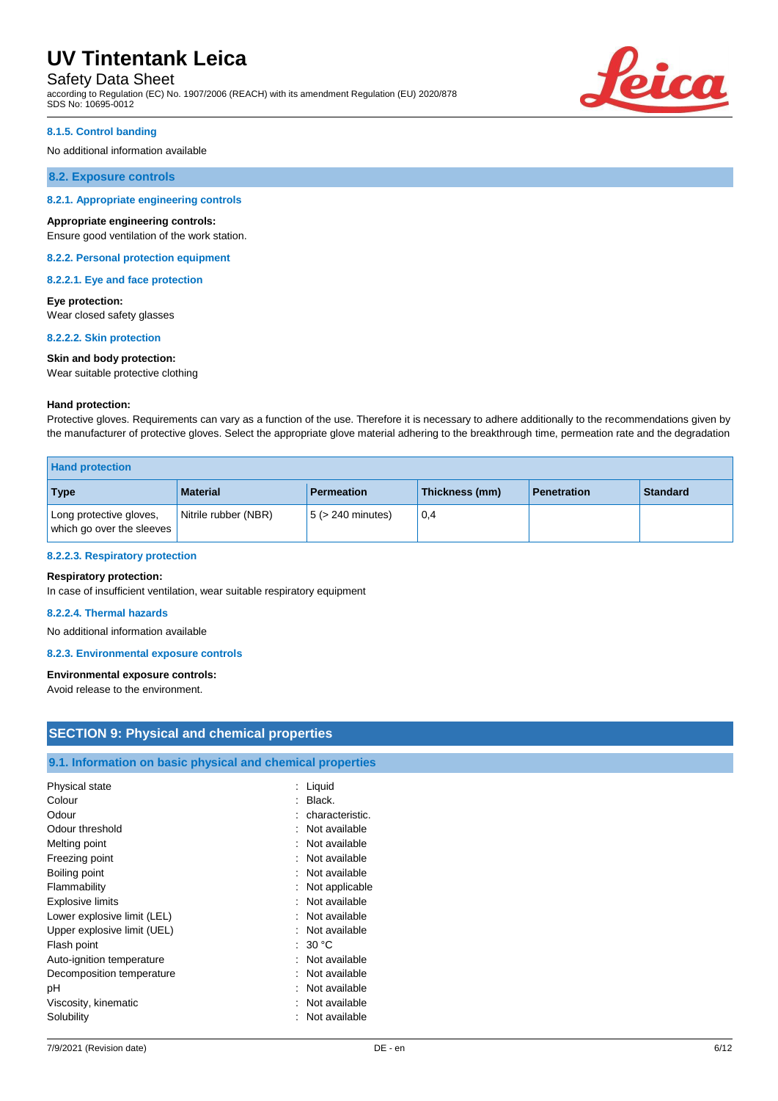Safety Data Sheet

according to Regulation (EC) No. 1907/2006 (REACH) with its amendment Regulation (EU) 2020/878 SDS No: 10695-0012



#### **8.1.5. Control banding**

No additional information available

#### **8.2. Exposure controls**

#### **8.2.1. Appropriate engineering controls**

#### **Appropriate engineering controls:**

Ensure good ventilation of the work station.

#### **8.2.2. Personal protection equipment**

**8.2.2.1. Eye and face protection**

#### **Eye protection:** Wear closed safety glasses

**8.2.2.2. Skin protection**

#### **Skin and body protection:**

Wear suitable protective clothing

#### **Hand protection:**

Protective gloves. Requirements can vary as a function of the use. Therefore it is necessary to adhere additionally to the recommendations given by the manufacturer of protective gloves. Select the appropriate glove material adhering to the breakthrough time, permeation rate and the degradation

| <b>Hand protection</b>                               |                      |                        |                |                    |          |
|------------------------------------------------------|----------------------|------------------------|----------------|--------------------|----------|
| Type                                                 | <b>Material</b>      | <b>Permeation</b>      | Thickness (mm) | <b>Penetration</b> | Standard |
| Long protective gloves,<br>which go over the sleeves | Nitrile rubber (NBR) | $5$ ( $>$ 240 minutes) | 0,4            |                    |          |

#### **8.2.2.3. Respiratory protection**

#### **Respiratory protection:**

In case of insufficient ventilation, wear suitable respiratory equipment

#### **8.2.2.4. Thermal hazards**

No additional information available

#### **8.2.3. Environmental exposure controls**

#### **Environmental exposure controls:**

Avoid release to the environment.

| <b>SECTION 9: Physical and chemical properties</b>         |                   |  |
|------------------------------------------------------------|-------------------|--|
| 9.1. Information on basic physical and chemical properties |                   |  |
| Physical state                                             | $:$ Liquid        |  |
| Colour                                                     | $:$ Black.        |  |
| Odour                                                      | : characteristic. |  |
| Odour threshold                                            | : Not available   |  |
| Melting point                                              | Not available     |  |
| Freezing point                                             | : Not available   |  |
| Boiling point                                              | : Not available   |  |
| Flammability                                               | : Not applicable  |  |
| <b>Explosive limits</b>                                    | : Not available   |  |
| Lower explosive limit (LEL)                                | : Not available   |  |
| Upper explosive limit (UEL)                                | : Not available   |  |
| Flash point                                                | : $30^{\circ}$ C  |  |
| Auto-ignition temperature                                  | : Not available   |  |
| Decomposition temperature                                  | Not available     |  |
| pH                                                         | : Not available   |  |
| Viscosity, kinematic                                       | Not available     |  |
| Solubility                                                 | : Not available   |  |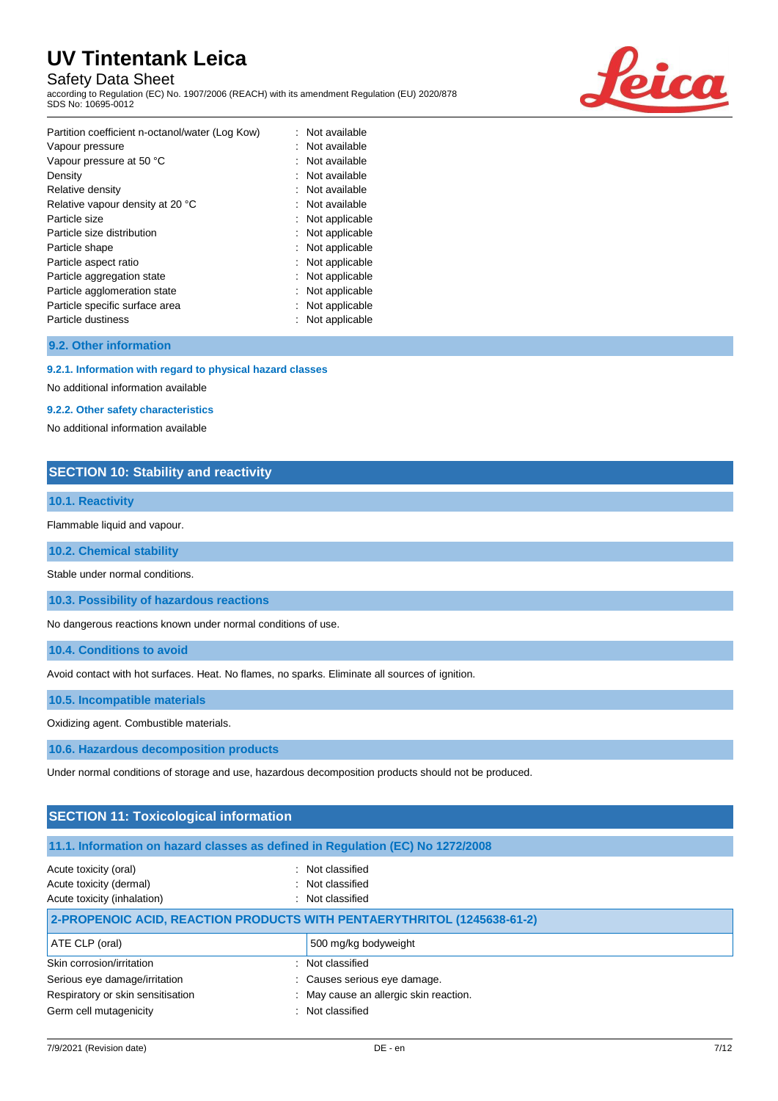## Safety Data Sheet

according to Regulation (EC) No. 1907/2006 (REACH) with its amendment Regulation (EU) 2020/878 SDS No: 10695-0012



| Partition coefficient n-octanol/water (Log Kow) | : Not available |
|-------------------------------------------------|-----------------|
| Vapour pressure                                 | Not available   |
| Vapour pressure at 50 °C                        | Not available   |
| Density                                         | Not available   |
| Relative density                                | : Not available |
| Relative vapour density at 20 °C                | : Not available |
| Particle size                                   | Not applicable  |
| Particle size distribution                      | Not applicable  |
| Particle shape                                  | Not applicable  |
| Particle aspect ratio                           | Not applicable  |
| Particle aggregation state                      | Not applicable  |
| Particle agglomeration state                    | Not applicable  |
| Particle specific surface area                  | Not applicable  |
| Particle dustiness                              | Not applicable  |

#### **9.2. Other information**

#### **9.2.1. Information with regard to physical hazard classes**

No additional information available

### **9.2.2. Other safety characteristics**

No additional information available

## **SECTION 10: Stability and reactivity**

#### **10.1. Reactivity**

Flammable liquid and vapour.

**10.2. Chemical stability**

Stable under normal conditions.

**10.3. Possibility of hazardous reactions**

No dangerous reactions known under normal conditions of use.

**10.4. Conditions to avoid**

Avoid contact with hot surfaces. Heat. No flames, no sparks. Eliminate all sources of ignition.

**10.5. Incompatible materials**

Oxidizing agent. Combustible materials.

**10.6. Hazardous decomposition products**

Under normal conditions of storage and use, hazardous decomposition products should not be produced.

## **SECTION 11: Toxicological information 11.1. Information on hazard classes as defined in Regulation (EC) No 1272/2008** Acute toxicity (oral) **Example 2** Constant Constant Constant Constant Constant Constant Constant Constant Constant Acute toxicity (dermal) **Example 20** Acute toxicity (dermal) Acute toxicity (inhalation) **induction** : Not classified **2-PROPENOIC ACID, REACTION PRODUCTS WITH PENTAERYTHRITOL (1245638-61-2)** ATE CLP (oral) and the state of the state of the state of 500 mg/kg bodyweight Skin corrosion/irritation : Not classified Serious eye damage/irritation  $\cdot$  : Causes serious eye damage.

Respiratory or skin sensitisation : May cause an allergic skin reaction.

Germ cell mutagenicity **Second Contract Contract Contract Contract Contract Contract Contract Contract Contract Contract Contract Contract Contract Contract Contract Contract Contract Contract Contract Contract Contract Co**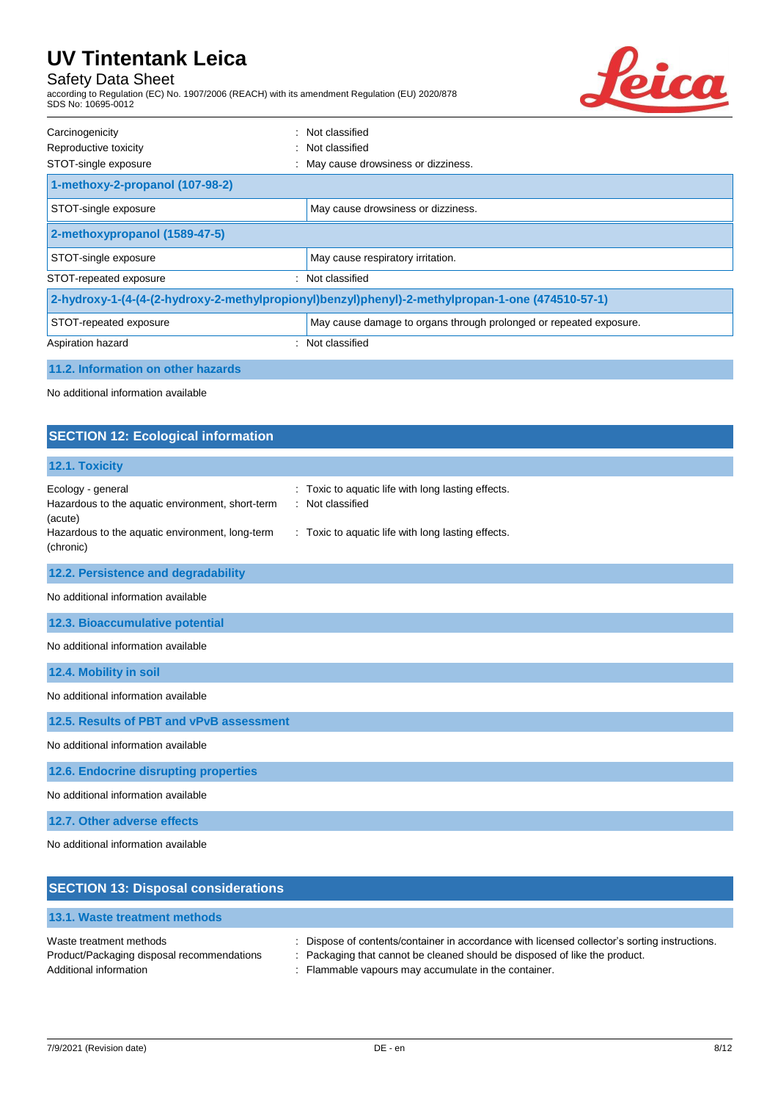## Safety Data Sheet

according to Regulation (EC) No. 1907/2006 (REACH) with its amendment Regulation (EU) 2020/878 SDS No: 10695-0012



| Carcinogenicity                                                                                  | : Not classified                                                   |  |
|--------------------------------------------------------------------------------------------------|--------------------------------------------------------------------|--|
| Reproductive toxicity                                                                            | : Not classified                                                   |  |
| STOT-single exposure                                                                             | May cause drowsiness or dizziness.                                 |  |
| 1-methoxy-2-propanol (107-98-2)                                                                  |                                                                    |  |
| STOT-single exposure                                                                             | May cause drowsiness or dizziness.                                 |  |
| 2-methoxypropanol (1589-47-5)                                                                    |                                                                    |  |
| STOT-single exposure                                                                             | May cause respiratory irritation.                                  |  |
| STOT-repeated exposure                                                                           | Not classified                                                     |  |
| 2-hydroxy-1-(4-(4-(2-hydroxy-2-methylpropionyl)benzyl)phenyl)-2-methylpropan-1-one (474510-57-1) |                                                                    |  |
| STOT-repeated exposure                                                                           | May cause damage to organs through prolonged or repeated exposure. |  |
| Aspiration hazard                                                                                | Not classified                                                     |  |

#### **11.2. Information on other hazards**

No additional information available

## **SECTION 12: Ecological information 12.1. Toxicity** Ecology - general **Ecology** - general  $\cdot$  Toxic to aquatic life with long lasting effects. Hazardous to the aquatic environment, short-term (acute) : Not classified Hazardous to the aquatic environment, long-term (chronic) : Toxic to aquatic life with long lasting effects. **12.2. Persistence and degradability** No additional information available **12.3. Bioaccumulative potential** No additional information available **12.4. Mobility in soil** No additional information available **12.5. Results of PBT and vPvB assessment** No additional information available **12.6. Endocrine disrupting properties** No additional information available **12.7. Other adverse effects**

No additional information available

| <b>SECTION 13: Disposal considerations</b>                                                      |                                                                                                                                                                                                                                     |
|-------------------------------------------------------------------------------------------------|-------------------------------------------------------------------------------------------------------------------------------------------------------------------------------------------------------------------------------------|
| 13.1. Waste treatment methods                                                                   |                                                                                                                                                                                                                                     |
| Waste treatment methods<br>Product/Packaging disposal recommendations<br>Additional information | : Dispose of contents/container in accordance with licensed collector's sorting instructions.<br>: Packaging that cannot be cleaned should be disposed of like the product.<br>: Flammable vapours may accumulate in the container. |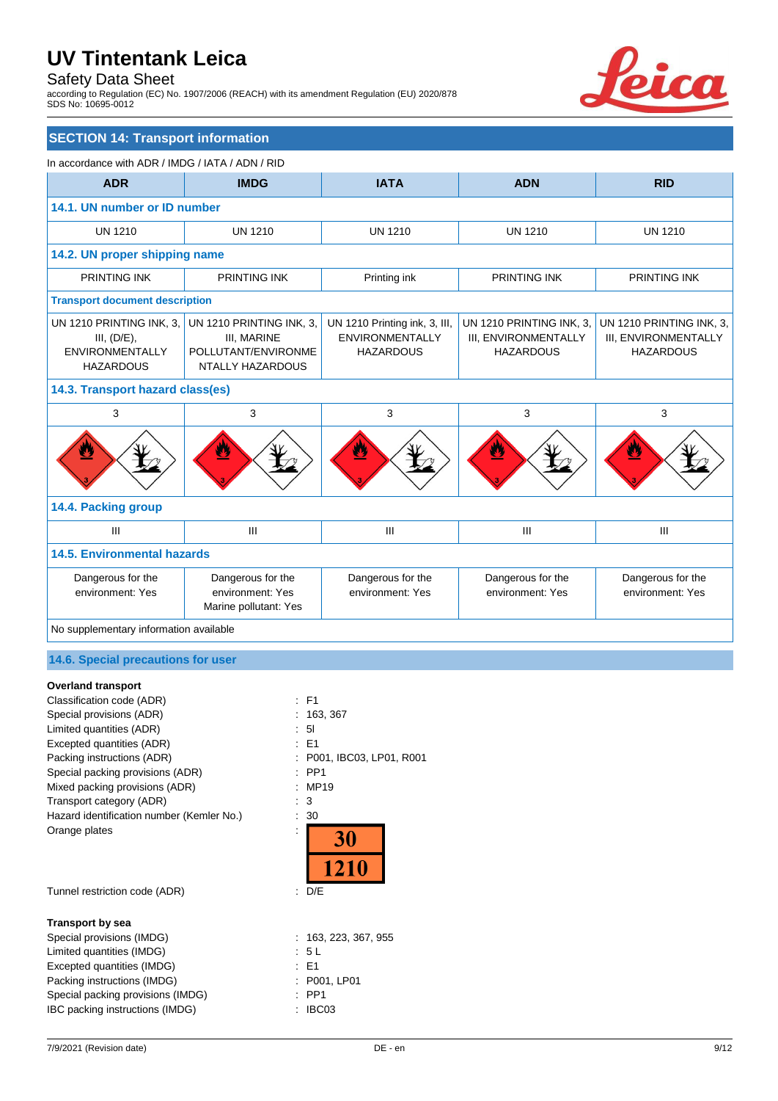## Safety Data Sheet

according to Regulation (EC) No. 1907/2006 (REACH) with its amendment Regulation (EU) 2020/878 SDS No: 10695-0012



## **SECTION 14: Transport information**

| In accordance with ADR / IMDG / IATA / ADN / RID                                      |                                                                                    |                                                                             |                                                                      |                                                                      |
|---------------------------------------------------------------------------------------|------------------------------------------------------------------------------------|-----------------------------------------------------------------------------|----------------------------------------------------------------------|----------------------------------------------------------------------|
| <b>ADR</b>                                                                            | <b>IMDG</b>                                                                        | <b>IATA</b>                                                                 | <b>ADN</b>                                                           | <b>RID</b>                                                           |
|                                                                                       | 14.1. UN number or ID number                                                       |                                                                             |                                                                      |                                                                      |
| <b>UN 1210</b>                                                                        | <b>UN 1210</b>                                                                     | <b>UN 1210</b>                                                              | <b>UN 1210</b>                                                       | <b>UN 1210</b>                                                       |
| 14.2. UN proper shipping name                                                         |                                                                                    |                                                                             |                                                                      |                                                                      |
| PRINTING INK                                                                          | <b>PRINTING INK</b>                                                                | Printing ink                                                                | <b>PRINTING INK</b>                                                  | <b>PRINTING INK</b>                                                  |
| <b>Transport document description</b>                                                 |                                                                                    |                                                                             |                                                                      |                                                                      |
| UN 1210 PRINTING INK, 3,<br>III, (D/E),<br><b>ENVIRONMENTALLY</b><br><b>HAZARDOUS</b> | UN 1210 PRINTING INK, 3,<br>III, MARINE<br>POLLUTANT/ENVIRONME<br>NTALLY HAZARDOUS | UN 1210 Printing ink, 3, III,<br><b>ENVIRONMENTALLY</b><br><b>HAZARDOUS</b> | UN 1210 PRINTING INK, 3,<br>III, ENVIRONMENTALLY<br><b>HAZARDOUS</b> | UN 1210 PRINTING INK, 3,<br>III, ENVIRONMENTALLY<br><b>HAZARDOUS</b> |
| 14.3. Transport hazard class(es)                                                      |                                                                                    |                                                                             |                                                                      |                                                                      |
| 3                                                                                     | 3                                                                                  | 3                                                                           | 3                                                                    | 3                                                                    |
| Ł                                                                                     | 2                                                                                  | ê,                                                                          |                                                                      |                                                                      |
| 14.4. Packing group                                                                   |                                                                                    |                                                                             |                                                                      |                                                                      |
| III                                                                                   | III                                                                                | III                                                                         | Ш                                                                    | III                                                                  |
| <b>14.5. Environmental hazards</b>                                                    |                                                                                    |                                                                             |                                                                      |                                                                      |
| Dangerous for the<br>environment: Yes                                                 | Dangerous for the<br>environment: Yes<br>Marine pollutant: Yes                     | Dangerous for the<br>environment: Yes                                       | Dangerous for the<br>environment: Yes                                | Dangerous for the<br>environment: Yes                                |
| No supplementary information available                                                |                                                                                    |                                                                             |                                                                      |                                                                      |

## **14.6. Special precautions for user**

#### **Overland transport**

| Classification code (ADR)                 | : F1                    |
|-------------------------------------------|-------------------------|
| Special provisions (ADR)                  | 163, 367                |
| Limited quantities (ADR)                  | 51                      |
| Excepted quantities (ADR)                 | E <sub>1</sub>          |
| Packing instructions (ADR)                | P001, IBC03, LP01, R001 |
| Special packing provisions (ADR)          | PP <sub>1</sub>         |
| Mixed packing provisions (ADR)            | <b>MP19</b>             |
| Transport category (ADR)                  | 3                       |
| Hazard identification number (Kemler No.) | 30                      |
| Orange plates                             | 30<br>1210              |
| Tunnel restriction code (ADR)             | D/E<br>÷.               |
| <b>Transport by sea</b>                   |                         |
| Special provisions (IMDG)                 | 163, 223, 367, 955      |
| Limited quantities (IMDG)                 | : 5 L                   |
| Excepted quantities (IMDG)                | : E1                    |
| Packing instructions (IMDG)               | P001, LP01              |
| Special packing provisions (IMDG)         | PP <sub>1</sub>         |
| IBC packing instructions (IMDG)           | IBC03                   |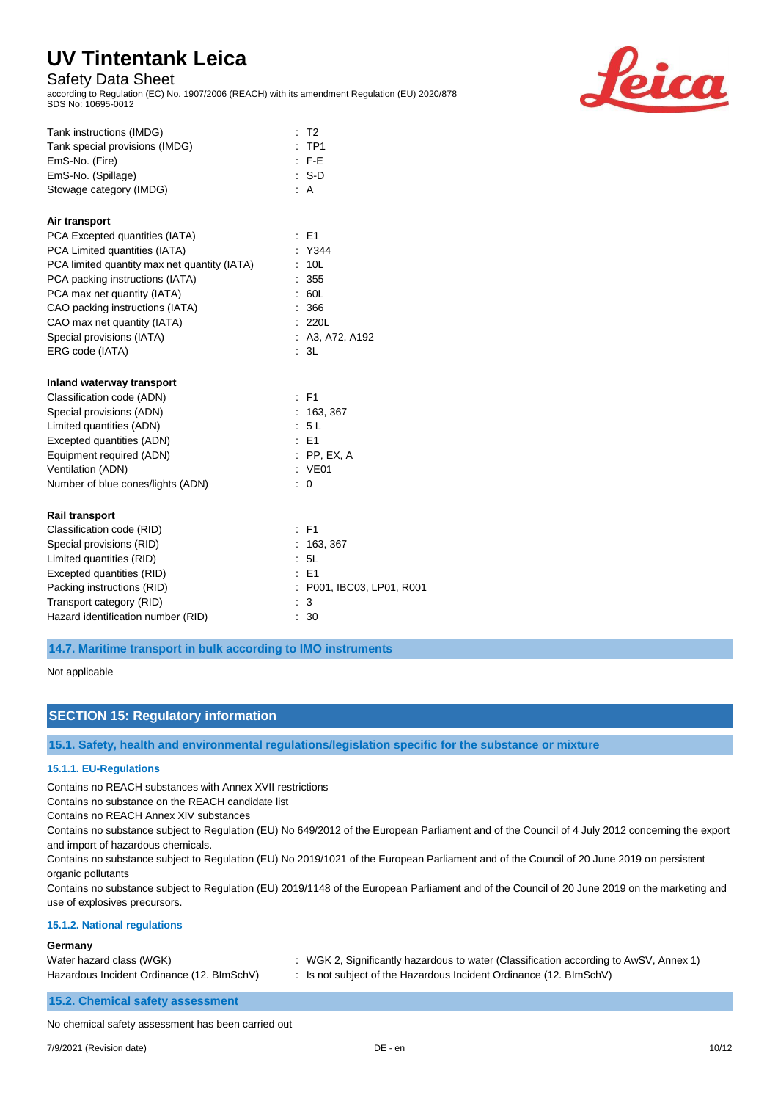## Safety Data Sheet

according to Regulation (EC) No. 1907/2006 (REACH) with its amendment Regulation (EU) 2020/878 SDS No: 10695-0012



| Tank instructions (IMDG)<br>T <sub>2</sub>                                         |  |
|------------------------------------------------------------------------------------|--|
| :TP1<br>Tank special provisions (IMDG)                                             |  |
| F-E<br>EmS-No. (Fire)                                                              |  |
| EmS-No. (Spillage)<br>$\therefore$ S-D                                             |  |
| Stowage category (IMDG)<br>: A                                                     |  |
| Air transport                                                                      |  |
| PCA Excepted quantities (IATA)<br>E1<br>÷                                          |  |
| PCA Limited quantities (IATA)<br>: Y344                                            |  |
| PCA limited quantity max net quantity (IATA)<br>10 <sub>L</sub>                    |  |
| PCA packing instructions (IATA)<br>355                                             |  |
| PCA max net quantity (IATA)<br>60L                                                 |  |
| CAO packing instructions (IATA)<br>366                                             |  |
| CAO max net quantity (IATA)<br>220L                                                |  |
| Special provisions (IATA)<br>: A3, A72, A192                                       |  |
| 3L<br>ERG code (IATA)                                                              |  |
| Inland waterway transport                                                          |  |
|                                                                                    |  |
| Classification code (ADN)<br>$:$ F1                                                |  |
| Special provisions (ADN)<br>: 163, 367                                             |  |
| Limited quantities (ADN)<br>: 5L                                                   |  |
| Excepted quantities (ADN)<br>$E = 1$                                               |  |
| Equipment required (ADN)<br>$:$ PP, EX, A                                          |  |
| Ventilation (ADN)<br>: VE01                                                        |  |
| Number of blue cones/lights (ADN)<br>÷<br>$\mathbf 0$                              |  |
|                                                                                    |  |
| <b>Rail transport</b><br>$:$ F1                                                    |  |
| Classification code (RID)                                                          |  |
| Special provisions (RID)<br>163, 367<br>5L                                         |  |
| Limited quantities (RID)<br>E1                                                     |  |
| Excepted quantities (RID)<br>Packing instructions (RID)<br>P001, IBC03, LP01, R001 |  |
| Transport category (RID)<br>3                                                      |  |

**14.7. Maritime transport in bulk according to IMO instruments**

Not applicable

## **SECTION 15: Regulatory information**

**15.1. Safety, health and environmental regulations/legislation specific for the substance or mixture**

#### **15.1.1. EU-Regulations**

Contains no REACH substances with Annex XVII restrictions

Contains no substance on the REACH candidate list

Contains no REACH Annex XIV substances

Contains no substance subject to Regulation (EU) No 649/2012 of the European Parliament and of the Council of 4 July 2012 concerning the export and import of hazardous chemicals.

Contains no substance subject to Regulation (EU) No 2019/1021 of the European Parliament and of the Council of 20 June 2019 on persistent organic pollutants

Contains no substance subject to Regulation (EU) 2019/1148 of the European Parliament and of the Council of 20 June 2019 on the marketing and use of explosives precursors.

#### **15.1.2. National regulations**

#### **Germany**

| Water hazard class (WGK)                   | : WGK 2, Significantly hazardous to water (Classification according to AwSV, Annex 1) |
|--------------------------------------------|---------------------------------------------------------------------------------------|
| Hazardous Incident Ordinance (12. BImSchV) | Is not subject of the Hazardous Incident Ordinance (12. BlmSchV)                      |

**15.2. Chemical safety assessment**

No chemical safety assessment has been carried out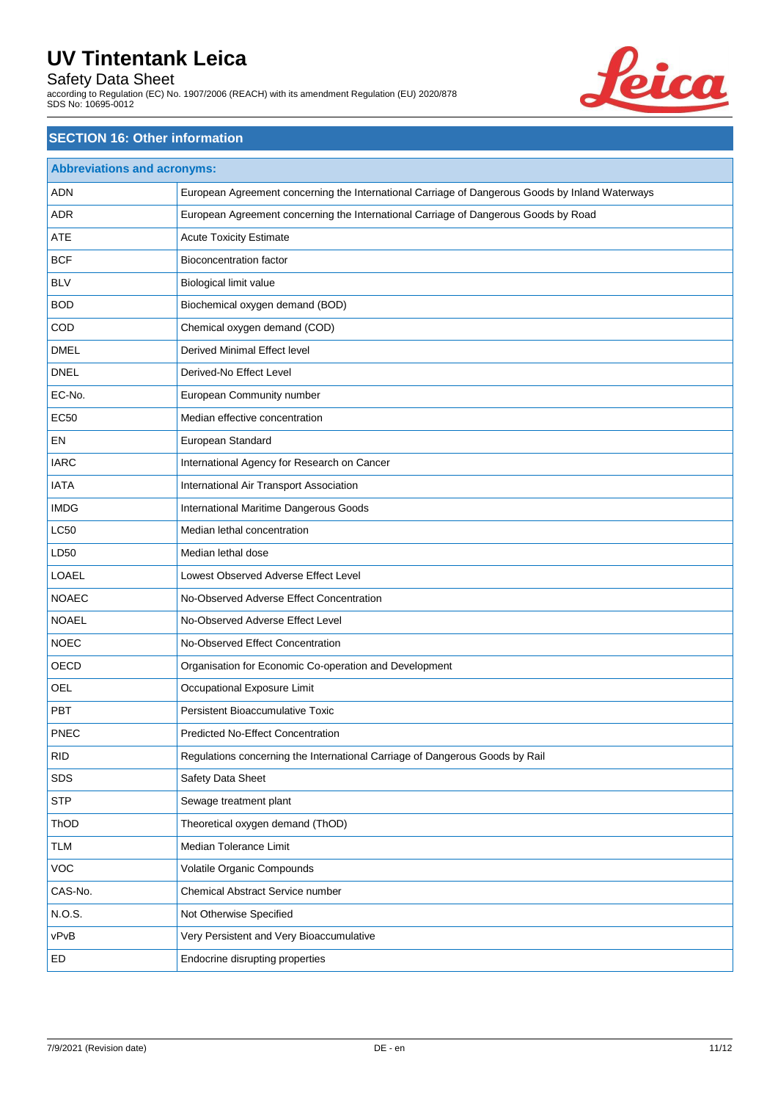## Safety Data Sheet

according to Regulation (EC) No. 1907/2006 (REACH) with its amendment Regulation (EU) 2020/878 SDS No: 10695-0012



## **SECTION 16: Other information**

| <b>Abbreviations and acronyms:</b> |                                                                                                 |  |
|------------------------------------|-------------------------------------------------------------------------------------------------|--|
| <b>ADN</b>                         | European Agreement concerning the International Carriage of Dangerous Goods by Inland Waterways |  |
| <b>ADR</b>                         | European Agreement concerning the International Carriage of Dangerous Goods by Road             |  |
| ATE                                | <b>Acute Toxicity Estimate</b>                                                                  |  |
| <b>BCF</b>                         | <b>Bioconcentration factor</b>                                                                  |  |
| <b>BLV</b>                         | Biological limit value                                                                          |  |
| <b>BOD</b>                         | Biochemical oxygen demand (BOD)                                                                 |  |
| COD                                | Chemical oxygen demand (COD)                                                                    |  |
| <b>DMEL</b>                        | Derived Minimal Effect level                                                                    |  |
| <b>DNEL</b>                        | Derived-No Effect Level                                                                         |  |
| EC-No.                             | European Community number                                                                       |  |
| <b>EC50</b>                        | Median effective concentration                                                                  |  |
| EN                                 | European Standard                                                                               |  |
| <b>IARC</b>                        | International Agency for Research on Cancer                                                     |  |
| <b>IATA</b>                        | International Air Transport Association                                                         |  |
| <b>IMDG</b>                        | International Maritime Dangerous Goods                                                          |  |
| <b>LC50</b>                        | Median lethal concentration                                                                     |  |
| LD50                               | Median lethal dose                                                                              |  |
| LOAEL                              | Lowest Observed Adverse Effect Level                                                            |  |
| <b>NOAEC</b>                       | No-Observed Adverse Effect Concentration                                                        |  |
| <b>NOAEL</b>                       | No-Observed Adverse Effect Level                                                                |  |
| <b>NOEC</b>                        | No-Observed Effect Concentration                                                                |  |
| OECD                               | Organisation for Economic Co-operation and Development                                          |  |
| <b>OEL</b>                         | Occupational Exposure Limit                                                                     |  |
| PBT                                | Persistent Bioaccumulative Toxic                                                                |  |
| <b>PNEC</b>                        | <b>Predicted No-Effect Concentration</b>                                                        |  |
| <b>RID</b>                         | Regulations concerning the International Carriage of Dangerous Goods by Rail                    |  |
| <b>SDS</b>                         | Safety Data Sheet                                                                               |  |
| <b>STP</b>                         | Sewage treatment plant                                                                          |  |
| ThOD                               | Theoretical oxygen demand (ThOD)                                                                |  |
| <b>TLM</b>                         | Median Tolerance Limit                                                                          |  |
| VOC                                | Volatile Organic Compounds                                                                      |  |
| CAS-No.                            | Chemical Abstract Service number                                                                |  |
| N.O.S.                             | Not Otherwise Specified                                                                         |  |
| vPvB                               | Very Persistent and Very Bioaccumulative                                                        |  |
| ED                                 | Endocrine disrupting properties                                                                 |  |
|                                    |                                                                                                 |  |